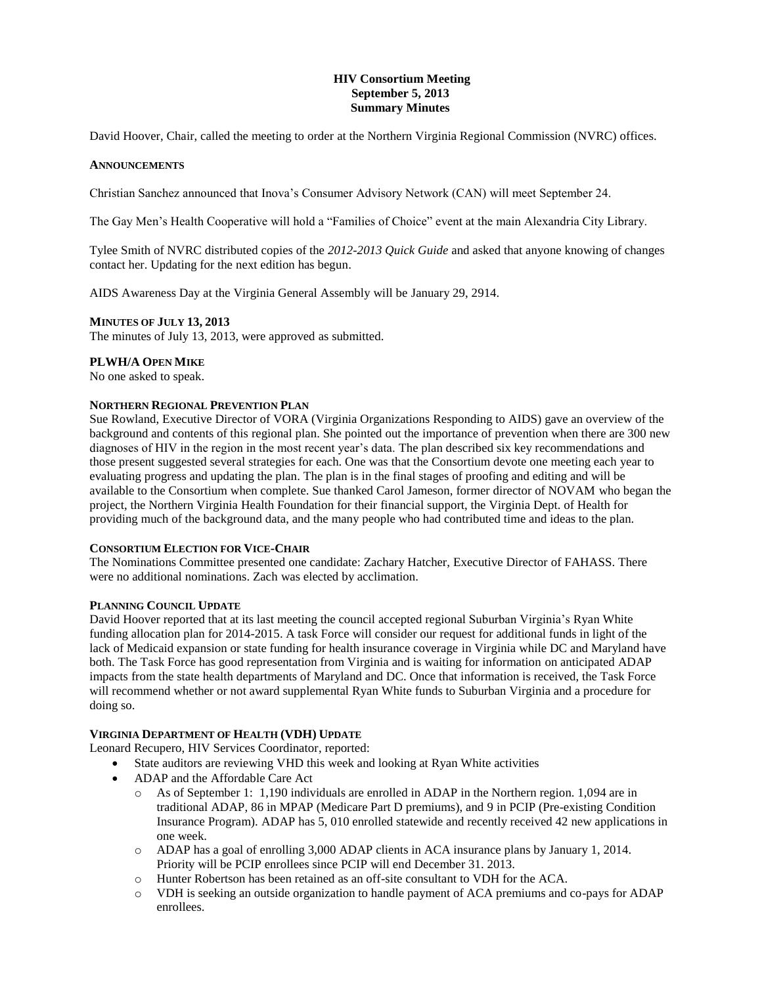## **HIV Consortium Meeting September 5, 2013 Summary Minutes**

David Hoover, Chair, called the meeting to order at the Northern Virginia Regional Commission (NVRC) offices.

#### **ANNOUNCEMENTS**

Christian Sanchez announced that Inova's Consumer Advisory Network (CAN) will meet September 24.

The Gay Men's Health Cooperative will hold a "Families of Choice" event at the main Alexandria City Library.

Tylee Smith of NVRC distributed copies of the *2012-2013 Quick Guide* and asked that anyone knowing of changes contact her. Updating for the next edition has begun.

AIDS Awareness Day at the Virginia General Assembly will be January 29, 2914.

## **MINUTES OF JULY 13, 2013**

The minutes of July 13, 2013, were approved as submitted.

## **PLWH/A OPEN MIKE**

No one asked to speak.

### **NORTHERN REGIONAL PREVENTION PLAN**

Sue Rowland, Executive Director of VORA (Virginia Organizations Responding to AIDS) gave an overview of the background and contents of this regional plan. She pointed out the importance of prevention when there are 300 new diagnoses of HIV in the region in the most recent year's data. The plan described six key recommendations and those present suggested several strategies for each. One was that the Consortium devote one meeting each year to evaluating progress and updating the plan. The plan is in the final stages of proofing and editing and will be available to the Consortium when complete. Sue thanked Carol Jameson, former director of NOVAM who began the project, the Northern Virginia Health Foundation for their financial support, the Virginia Dept. of Health for providing much of the background data, and the many people who had contributed time and ideas to the plan.

#### **CONSORTIUM ELECTION FOR VICE-CHAIR**

The Nominations Committee presented one candidate: Zachary Hatcher, Executive Director of FAHASS. There were no additional nominations. Zach was elected by acclimation.

#### **PLANNING COUNCIL UPDATE**

David Hoover reported that at its last meeting the council accepted regional Suburban Virginia's Ryan White funding allocation plan for 2014-2015. A task Force will consider our request for additional funds in light of the lack of Medicaid expansion or state funding for health insurance coverage in Virginia while DC and Maryland have both. The Task Force has good representation from Virginia and is waiting for information on anticipated ADAP impacts from the state health departments of Maryland and DC. Once that information is received, the Task Force will recommend whether or not award supplemental Ryan White funds to Suburban Virginia and a procedure for doing so.

## **VIRGINIA DEPARTMENT OF HEALTH (VDH) UPDATE**

Leonard Recupero, HIV Services Coordinator, reported:

- State auditors are reviewing VHD this week and looking at Ryan White activities
- ADAP and the Affordable Care Act
	- o As of September 1: 1,190 individuals are enrolled in ADAP in the Northern region. 1,094 are in traditional ADAP, 86 in MPAP (Medicare Part D premiums), and 9 in PCIP (Pre-existing Condition Insurance Program). ADAP has 5, 010 enrolled statewide and recently received 42 new applications in one week.
	- o ADAP has a goal of enrolling 3,000 ADAP clients in ACA insurance plans by January 1, 2014. Priority will be PCIP enrollees since PCIP will end December 31. 2013.
	- o Hunter Robertson has been retained as an off-site consultant to VDH for the ACA.
	- o VDH is seeking an outside organization to handle payment of ACA premiums and co-pays for ADAP enrollees.